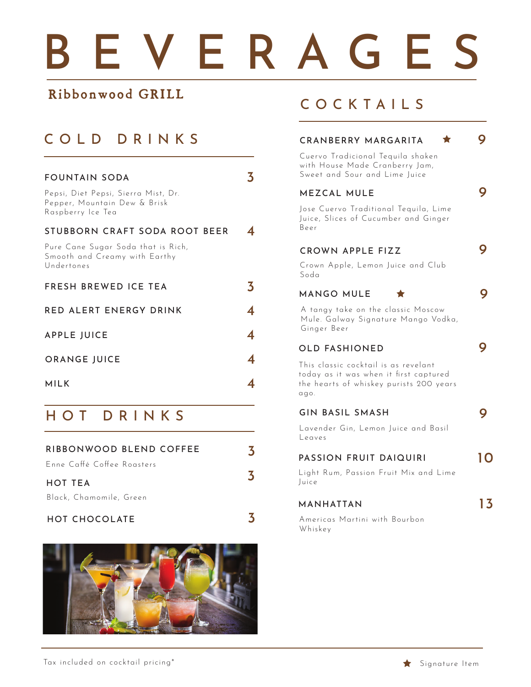# BEVERAGES

3

### Ribbonwood GRILL

## COLD DRINKS

| <b>FOUNTAIN SODA</b>                                                                     |  |
|------------------------------------------------------------------------------------------|--|
| Pepsi, Diet Pepsi, Sierra Mist, Dr.<br>Pepper, Mountain Dew & Brisk<br>Raspberry Ice Tea |  |
| STUBBORN CRAFT SODA ROOT BEER                                                            |  |
| Pure Cane Sugar Soda that is Rich,<br>Smooth and Creamy with Earthy<br>Undertones        |  |
| FRESH BREWED ICE TEA                                                                     |  |
| <b>RED ALERT ENERGY DRINK</b>                                                            |  |
| <b>APPLE JUICE</b>                                                                       |  |
| <b>ORANGE JUICE</b>                                                                      |  |
| MILK                                                                                     |  |

## HOT DRINKS

| RIBBONWOOD BLEND COFFEE    |  |
|----------------------------|--|
| Enne Caffé Coffee Roasters |  |
| HOT TEA                    |  |
| Black, Chamomile, Green    |  |

### HOT CHOCOLATE



## COCKTAILS

| CRANBERRY MARGARITA<br>Cuervo Tradicional Tequila shaken<br>with House Made Cranberry Jam,                                            |    |
|---------------------------------------------------------------------------------------------------------------------------------------|----|
| Sweet and Sour and Lime Juice<br>MEZCAL MULE<br>Jose Cuervo Traditional Tequila, Lime<br>Juice, Slices of Cucumber and Ginger<br>Beer |    |
| <b>CROWN APPLE FIZZ</b><br>Crown Apple, Lemon Juice and Club<br>Soda                                                                  |    |
| MANGO MULE<br>▼<br>A tangy take on the classic Moscow<br>Mule. Galway Signature Mango Vodka,                                          |    |
| Ginger Beer<br><b>OLD FASHIONED</b><br>This classic cocktail is as revelant<br>today as it was when it first captured                 |    |
| the hearts of whiskey purists 200 years<br>qqo.<br><b>GIN BASIL SMASH</b><br>Lavender Gin, Lemon Juice and Basil                      |    |
| Leaves<br><b>PASSION FRUIT DAIQUIRI</b><br>Light Rum, Passion Fruit Mix and Lime<br>Juice                                             |    |
| MANHATTAN<br>Americas Martini with Bourbon<br>Whiskey                                                                                 | 13 |
|                                                                                                                                       |    |